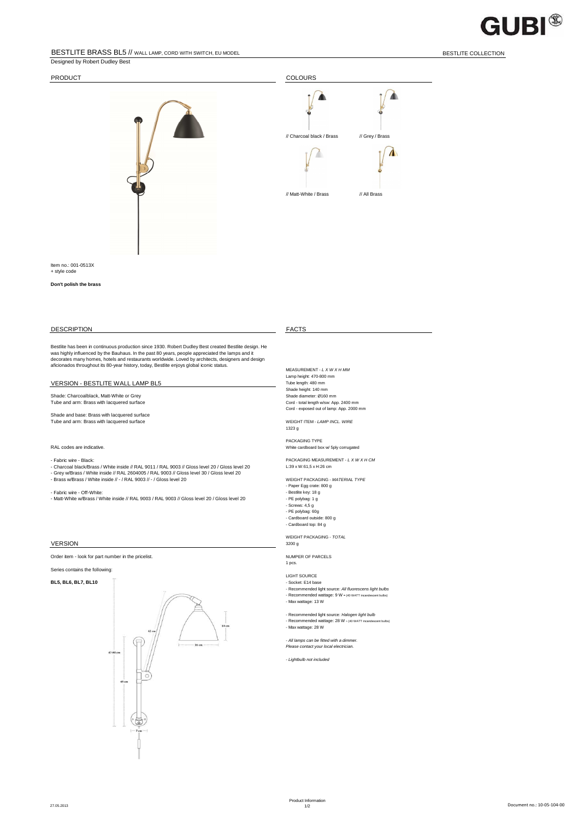## BESTLITE BRASS BL5 // WALL LAMP, CORD WITH SWITCH, EU MODEL BESTLITE COLLECTION BESTLITE COLLECTION

Designed by Robert Dudley Best

# **GUBI®**



Item no.: 001-0513X + style code

## **Don't polish the brass**

## DESCRIPTION FACTS

Bestlite has been in continuous production since 1930. Robert Dudley Best created Bestlite design. He<br>was highly influenced by the Bauhaus. In the past 80 years, people appreciated the lamps and it<br>decorates many homes, ho

### VERSION - BESTLITE WALL LAMP BL5

Tube and arm: Brass with lacquered surface

Shade and base: Brass with lacquered surface Tube and arm: Brass with lacquered surface WEIGHT ITEM - LAMP INCL. WIRE

- Fabric wire - Black: PACKAGING MEASUREMENT - L X W X H CM - Charcoal black/Brass / White inside // RAL 9011 / RAL 9003 // Gloss level 20 / Gloss level 20 L:39 x W:61,5 x H:26 cm - Grey w/Brass / White inside // RAL 2604005 / RAL 9003 // Gloss level 30 / Gloss level 20 - Brass w/Brass / White inside // - / RAL 9003 // - / Gloss level 20 WEIGHT PACKAGING - MATERIAL TYPE

- Fabric wire - Off-White: - Bestlite key: 18 g - Matt-White w/Brass / White inside // RAL 9003 / RAL 9003 // Gloss level 20 / Gloss level 20 - PE polybag: 1 g

## **VERSION**

Order item - look for part number in the pricelist. Numer states and the pricelist of PARCELS

Series contains the following:

## **BL5, BL6, BL7, BL10**



MEASUREMENT - L X W X H MM Lamp height: 470-800 mm Shade height: 140 mm<br>Shade diameter: Ø160 mm Shade: Charcoalblack, Matt-White or Grey Shade diameter: Ø160 mm<br>
Shade diameter: Ø160 mm<br>
Cord - total length w/sw: App. 2400 mm Cord - exposed out of lamp: App. 2000 mm

1323 g

PACKAGING TYPE RAL codes are indicative. The cardboard box w/ 5ply corrugated box w/ 5ply corrugated box w/ 5ply corrugated

- Paper Egg crate: 800 g - Screws: 4,5 g - PE polybag: 60g - Cardboard outside: 800 g - Cardboard top: 84 g

WEIGHT PACKAGING - TOTAL<br>3200 g

1 pcs.

LIGHT SOURCE<br>- Socket: E14 base - Recommended light source: All fluorescens light bulbs - Recommended wattage: 9 W ≈ (40 WATT incand - Max wattage: 13 W

- Recommended light source: Halogen light bulb - Recommended wattage: 28 W ≈ (40 WATT incandescent bulbs) - Max wattage: 28 W

- All lamps can be fitted with a dimmer. Please contact your local electrician.

- Lightbulb not included